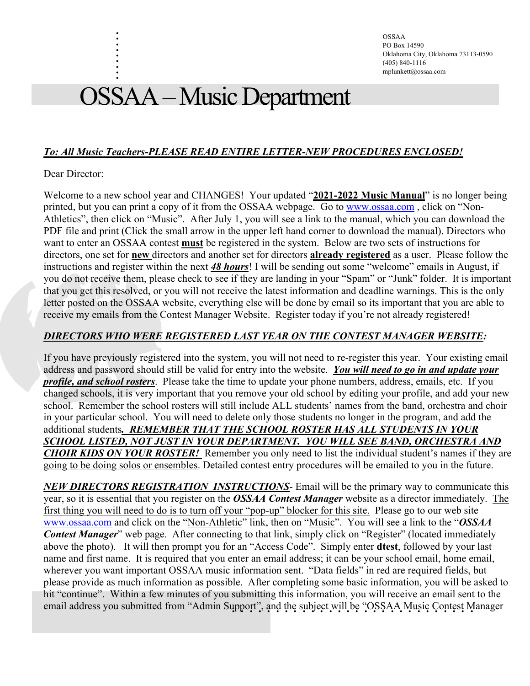OSSAA PO Box 14590 Oklahoma City, Oklahoma 73113-0590 (405) 840-1116 mplunkett@ossaa.com

# OSSAA –Music Department

## *To: All Music Teachers-PLEASE READ ENTIRE LETTER-NEW PROCEDURES ENCLOSED!*

#### Dear Director:

. . . . . . . . .

Welcome to a new school year and CHANGES! Your updated "**2021-2022 Music Manual**" is no longer being printed, but you can print a copy of it from the OSSAA webpage. Go to www.ossaa.com , click on "Non-Athletics", then click on "Music". After July 1, you will see a link to the manual, which you can download the PDF file and print (Click the small arrow in the upper left hand corner to download the manual). Directors who want to enter an OSSAA contest **must** be registered in the system. Below are two sets of instructions for directors, one set for **new** directors and another set for directors **already registered** as a user. Please follow the instructions and register within the next *48 hours*! I will be sending out some "welcome" emails in August, if you do not receive them, please check to see if they are landing in your "Spam" or "Junk" folder. It is important that you get this resolved, or you will not receive the latest information and deadline warnings. This is the only letter posted on the OSSAA website, everything else will be done by email so its important that you are able to receive my emails from the Contest Manager Website. Register today if you're not already registered!

## *DIRECTORS WHO WERE REGISTERED LAST YEAR ON THE CONTEST MANAGER WEBSITE:*

If you have previously registered into the system, you will not need to re-register this year. Your existing email address and password should still be valid for entry into the website. *You will need to go in and update your profile, and school rosters*. Please take the time to update your phone numbers, address, emails, etc. If you changed schools, it is very important that you remove your old school by editing your profile, and add your new school. Remember the school rosters will still include ALL students' names from the band, orchestra and choir in your particular school. You will need to delete only those students no longer in the program, and add the additional students*. REMEMBER THAT THE SCHOOL ROSTER HAS ALL STUDENTS IN YOUR SCHOOL LISTED, NOT JUST IN YOUR DEPARTMENT. YOU WILL SEE BAND, ORCHESTRA AND CHOIR KIDS ON YOUR ROSTER!* Remember you only need to list the individual student's names if they are going to be doing solos or ensembles. Detailed contest entry procedures will be emailed to you in the future.

email address you submitted from "Admin Support", and the subject will be "OSSAA Music Contest Manager *NEW DIRECTORS REGISTRATION INSTRUCTIONS*- Email will be the primary way to communicate this year, so it is essential that you register on the *OSSAA Contest Manager* website as a director immediately. The first thing you will need to do is to turn off your "pop-up" blocker for this site. Please go to our web site www.ossaa.com and click on the "Non-Athletic" link, then on "Music". You will see a link to the "*OSSAA Contest Manager*" web page. After connecting to that link, simply click on "Register" (located immediately above the photo). It will then prompt you for an "Access Code". Simply enter **dtest**, followed by your last name and first name. It is required that you enter an email address; it can be your school email, home email, wherever you want important OSSAA music information sent. "Data fields" in red are required fields, but please provide as much information as possible. After completing some basic information, you will be asked to hit "continue". Within a few minutes of you submitting this information, you will receive an email sent to the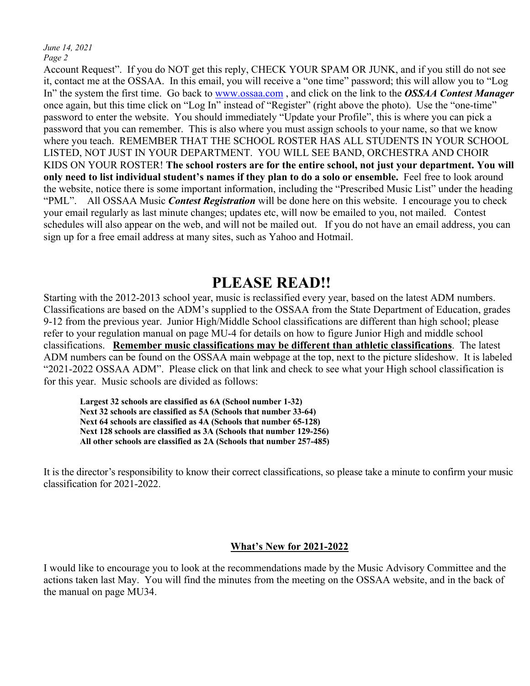*June 14, 2021 Page 2*

Account Request". If you do NOT get this reply, CHECK YOUR SPAM OR JUNK, and if you still do not see it, contact me at the OSSAA. In this email, you will receive a "one time" password; this will allow you to "Log In" the system the first time. Go back to www.ossaa.com , and click on the link to the *OSSAA Contest Manager* once again, but this time click on "Log In" instead of "Register" (right above the photo). Use the "one-time" password to enter the website. You should immediately "Update your Profile", this is where you can pick a password that you can remember. This is also where you must assign schools to your name, so that we know where you teach. REMEMBER THAT THE SCHOOL ROSTER HAS ALL STUDENTS IN YOUR SCHOOL LISTED, NOT JUST IN YOUR DEPARTMENT. YOU WILL SEE BAND, ORCHESTRA AND CHOIR KIDS ON YOUR ROSTER! **The school rosters are for the entire school, not just your department. You will only need to list individual student's names if they plan to do a solo or ensemble.** Feel free to look around the website, notice there is some important information, including the "Prescribed Music List" under the heading "PML". All OSSAA Music *Contest Registration* will be done here on this website. I encourage you to check your email regularly as last minute changes; updates etc, will now be emailed to you, not mailed. Contest schedules will also appear on the web, and will not be mailed out. If you do not have an email address, you can sign up for a free email address at many sites, such as Yahoo and Hotmail.

# **PLEASE READ!!**

Starting with the 2012-2013 school year, music is reclassified every year, based on the latest ADM numbers. Classifications are based on the ADM's supplied to the OSSAA from the State Department of Education, grades 9-12 from the previous year. Junior High/Middle School classifications are different than high school; please refer to your regulation manual on page MU-4 for details on how to figure Junior High and middle school classifications. **Remember music classifications may be different than athletic classifications**. The latest ADM numbers can be found on the OSSAA main webpage at the top, next to the picture slideshow. It is labeled "2021-2022 OSSAA ADM". Please click on that link and check to see what your High school classification is for this year. Music schools are divided as follows:

**Largest 32 schools are classified as 6A (School number 1-32) Next 32 schools are classified as 5A (Schools that number 33-64) Next 64 schools are classified as 4A (Schools that number 65-128) Next 128 schools are classified as 3A (Schools that number 129-256) All other schools are classified as 2A (Schools that number 257-485)**

It is the director's responsibility to know their correct classifications, so please take a minute to confirm your music classification for 2021-2022.

#### **What's New for 2021-2022**

I would like to encourage you to look at the recommendations made by the Music Advisory Committee and the actions taken last May. You will find the minutes from the meeting on the OSSAA website, and in the back of the manual on page MU34.